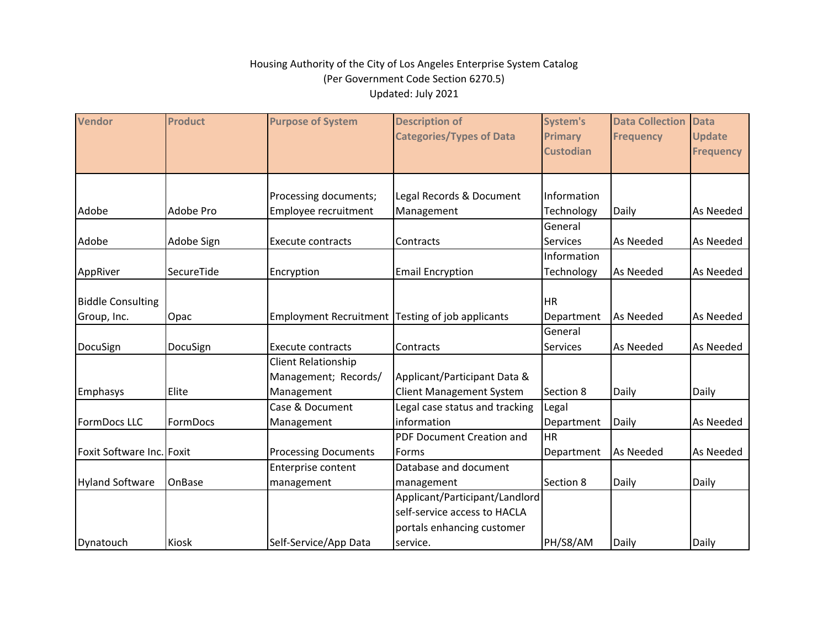| <b>Vendor</b>             | <b>Product</b> | <b>Purpose of System</b>                         | <b>Description of</b><br><b>Categories/Types of Data</b> | <b>System's</b>                    | <b>Data Collection</b> | <b>Data</b>                       |
|---------------------------|----------------|--------------------------------------------------|----------------------------------------------------------|------------------------------------|------------------------|-----------------------------------|
|                           |                |                                                  |                                                          | <b>Primary</b><br><b>Custodian</b> | <b>Frequency</b>       | <b>Update</b><br><b>Frequency</b> |
|                           |                |                                                  |                                                          |                                    |                        |                                   |
|                           |                | Processing documents;                            | Legal Records & Document                                 | Information                        |                        |                                   |
| Adobe                     | Adobe Pro      | Employee recruitment                             | Management                                               | Technology                         | Daily                  | As Needed                         |
|                           |                |                                                  |                                                          | General                            |                        |                                   |
| Adobe                     | Adobe Sign     | <b>Execute contracts</b>                         | Contracts                                                | Services                           | As Needed              | As Needed                         |
|                           |                |                                                  |                                                          | Information                        |                        |                                   |
| AppRiver                  | SecureTide     | Encryption                                       | <b>Email Encryption</b>                                  | Technology                         | As Needed              | As Needed                         |
|                           |                |                                                  |                                                          |                                    |                        |                                   |
| <b>Biddle Consulting</b>  |                |                                                  |                                                          | <b>HR</b>                          |                        |                                   |
| Group, Inc.               | Opac           | Employment Recruitment Testing of job applicants |                                                          | Department                         | As Needed              | As Needed                         |
|                           |                |                                                  |                                                          | General                            |                        |                                   |
| DocuSign                  | DocuSign       | <b>Execute contracts</b>                         | Contracts                                                | Services                           | As Needed              | As Needed                         |
|                           |                | <b>Client Relationship</b>                       |                                                          |                                    |                        |                                   |
|                           |                | Management; Records/                             | Applicant/Participant Data &                             |                                    |                        |                                   |
| Emphasys                  | Elite          | Management                                       | <b>Client Management System</b>                          | Section 8                          | Daily                  | Daily                             |
|                           |                | Case & Document                                  | Legal case status and tracking                           | Legal                              |                        |                                   |
| FormDocs LLC              | FormDocs       | Management                                       | information                                              | Department                         | Daily                  | As Needed                         |
|                           |                |                                                  | PDF Document Creation and                                | <b>HR</b>                          |                        |                                   |
| Foxit Software Inc. Foxit |                | <b>Processing Documents</b>                      | Forms                                                    | Department                         | As Needed              | As Needed                         |
|                           |                | Enterprise content                               | Database and document                                    |                                    |                        |                                   |
| <b>Hyland Software</b>    | <b>OnBase</b>  | management                                       | management                                               | Section 8                          | Daily                  | Daily                             |
|                           |                |                                                  | Applicant/Participant/Landlord                           |                                    |                        |                                   |
|                           |                |                                                  | self-service access to HACLA                             |                                    |                        |                                   |
|                           |                |                                                  | portals enhancing customer                               |                                    |                        |                                   |
| Dynatouch                 | Kiosk          | Self-Service/App Data                            | service.                                                 | PH/S8/AM                           | Daily                  | Daily                             |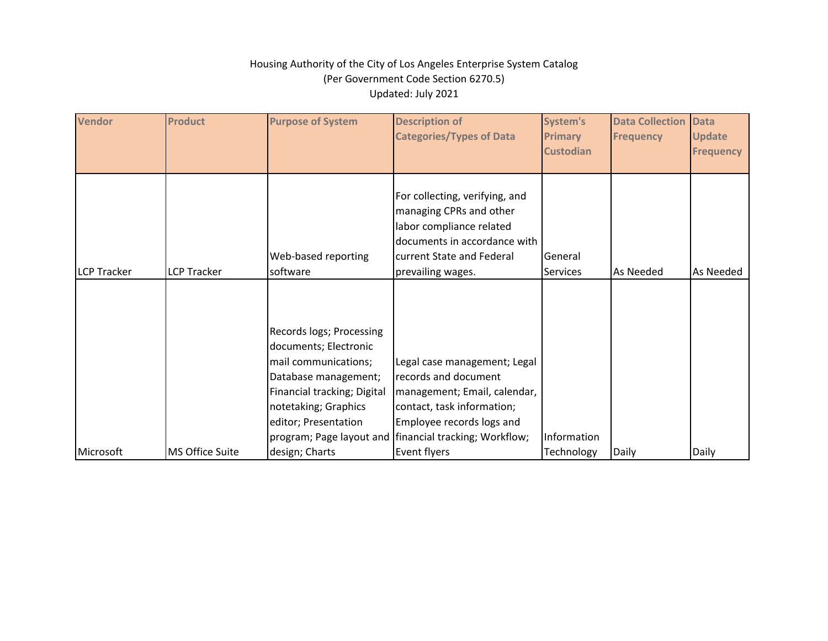| Vendor             | <b>Product</b>     | <b>Purpose of System</b>                                                                                                                                                         | <b>Description of</b><br><b>Categories/Types of Data</b>                                                                                                                                                    | System's<br><b>Primary</b><br><b>Custodian</b> | <b>Data Collection</b><br><b>Frequency</b> | <b>Data</b><br><b>Update</b><br><b>Frequency</b> |
|--------------------|--------------------|----------------------------------------------------------------------------------------------------------------------------------------------------------------------------------|-------------------------------------------------------------------------------------------------------------------------------------------------------------------------------------------------------------|------------------------------------------------|--------------------------------------------|--------------------------------------------------|
| <b>LCP Tracker</b> | <b>LCP Tracker</b> | Web-based reporting<br>software                                                                                                                                                  | For collecting, verifying, and<br>managing CPRs and other<br>labor compliance related<br>documents in accordance with<br>current State and Federal<br>prevailing wages.                                     | General<br><b>Services</b>                     | As Needed                                  | As Needed                                        |
|                    |                    | Records logs; Processing<br>documents; Electronic<br>mail communications;<br>Database management;<br>Financial tracking; Digital<br>notetaking; Graphics<br>editor; Presentation | Legal case management; Legal<br>records and document<br>management; Email, calendar,<br>contact, task information;<br>Employee records logs and<br>program; Page layout and   financial tracking; Workflow; | Information                                    |                                            |                                                  |
| Microsoft          | MS Office Suite    | design; Charts                                                                                                                                                                   | Event flyers                                                                                                                                                                                                | Technology                                     | Daily                                      | Daily                                            |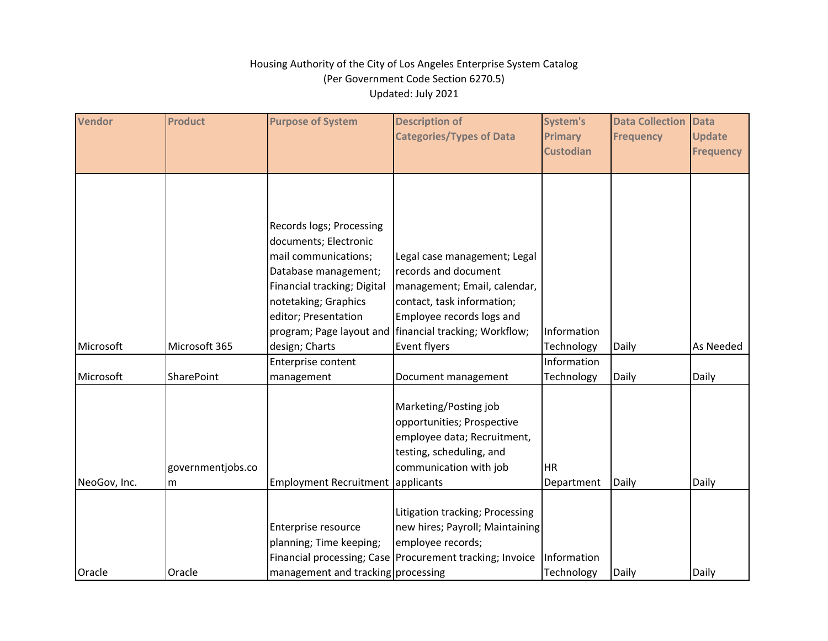| <b>Vendor</b> | <b>Product</b>    | <b>Purpose of System</b>           | <b>Description of</b>                                    | System's         | <b>Data Collection</b> | <b>Data</b>      |
|---------------|-------------------|------------------------------------|----------------------------------------------------------|------------------|------------------------|------------------|
|               |                   |                                    | <b>Categories/Types of Data</b>                          | <b>Primary</b>   | <b>Frequency</b>       | <b>Update</b>    |
|               |                   |                                    |                                                          | <b>Custodian</b> |                        | <b>Frequency</b> |
|               |                   |                                    |                                                          |                  |                        |                  |
|               |                   |                                    |                                                          |                  |                        |                  |
|               |                   |                                    |                                                          |                  |                        |                  |
|               |                   |                                    |                                                          |                  |                        |                  |
|               |                   | Records logs; Processing           |                                                          |                  |                        |                  |
|               |                   | documents; Electronic              |                                                          |                  |                        |                  |
|               |                   | mail communications;               | Legal case management; Legal                             |                  |                        |                  |
|               |                   | Database management;               | records and document                                     |                  |                        |                  |
|               |                   | Financial tracking; Digital        | management; Email, calendar,                             |                  |                        |                  |
|               |                   | notetaking; Graphics               | contact, task information;                               |                  |                        |                  |
|               |                   | editor; Presentation               | Employee records logs and                                |                  |                        |                  |
|               |                   | program; Page layout and           | financial tracking; Workflow;                            | Information      |                        |                  |
| Microsoft     | Microsoft 365     | design; Charts                     | Event flyers                                             | Technology       | Daily                  | As Needed        |
|               |                   | Enterprise content                 |                                                          | Information      |                        |                  |
| Microsoft     | <b>SharePoint</b> | management                         | Document management                                      | Technology       | Daily                  | Daily            |
|               |                   |                                    |                                                          |                  |                        |                  |
|               |                   |                                    | Marketing/Posting job                                    |                  |                        |                  |
|               |                   |                                    | opportunities; Prospective                               |                  |                        |                  |
|               |                   |                                    | employee data; Recruitment,                              |                  |                        |                  |
|               |                   |                                    | testing, scheduling, and                                 |                  |                        |                  |
|               | governmentjobs.co |                                    | communication with job                                   | <b>HR</b>        |                        |                  |
| NeoGov, Inc.  | m                 | Employment Recruitment applicants  |                                                          | Department       | Daily                  | Daily            |
|               |                   |                                    |                                                          |                  |                        |                  |
|               |                   |                                    | Litigation tracking; Processing                          |                  |                        |                  |
|               |                   | Enterprise resource                | new hires; Payroll; Maintaining                          |                  |                        |                  |
|               |                   | planning; Time keeping;            | employee records;                                        |                  |                        |                  |
|               |                   |                                    | Financial processing; Case Procurement tracking; Invoice | Information      |                        |                  |
| Oracle        | Oracle            | management and tracking processing |                                                          | Technology       | Daily                  | Daily            |